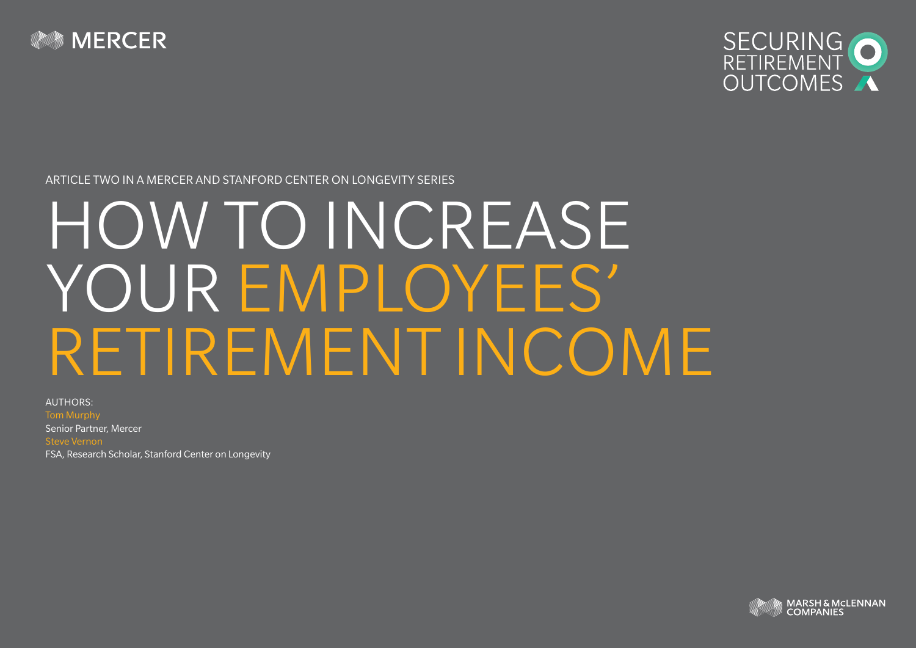



Article TWO in a Mercer and Stanford Center on Longevity series

# HOW TO INCREASE YOUR EMPLOYEES' RETIREMENT INCOME

Authors: Tom Murphy Senior Partner, Mercer Steve Vernon FSA, Research Scholar, Stanford Center on Longevity

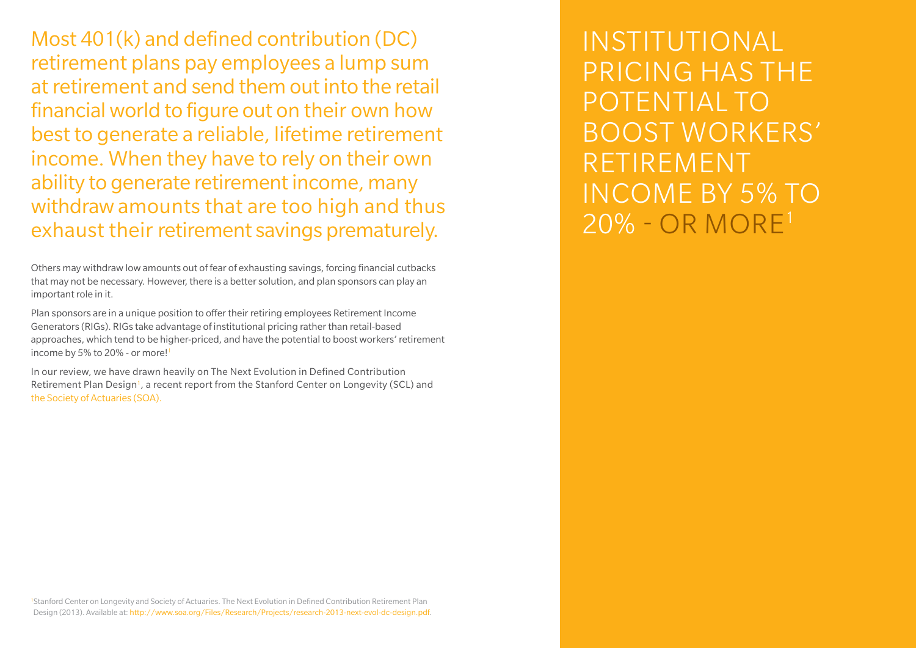Most 401(k) and defined contribution (DC) retirement plans pay employees a lump sum at retirement and send them out into the retail financial world to figure out on their own how best to generate a reliable, lifetime retirement income. When they have to rely on their own ability to generate retirement income, many withdraw amounts that are too high and thus exhaust their retirement savings prematurely.

Others may withdraw low amounts out of fear of exhausting savings, forcing financial cutbacks that may not be necessary. However, there is a better solution, and plan sponsors can play an important role in it.

Plan sponsors are in a unique position to offer their retiring employees Retirement Income Generators (RIGs). RIGs take advantage of institutional pricing rather than retail-based approaches, which tend to be higher-priced, and have the potential to boost workers' retirement income by 5% to 20% - or more!

In our review, we have drawn heavily on The Next Evolution in Defined Contribution Retirement Plan Design<sup>1</sup>, a recent report from the Stanford Center on Longevity (SCL) and the Society of Actuaries (SOA).

Institutional pricing has the potential to boost workers' retirement income by 5% to 20% - or more1

1 Stanford Center on Longevity and Society of Actuaries. The Next Evolution in Defined Contribution Retirement Plan Design (2013). Available at: http://www.soa.org/Files/Research/Projects/research-2013-next-evol-dc-design.pdf.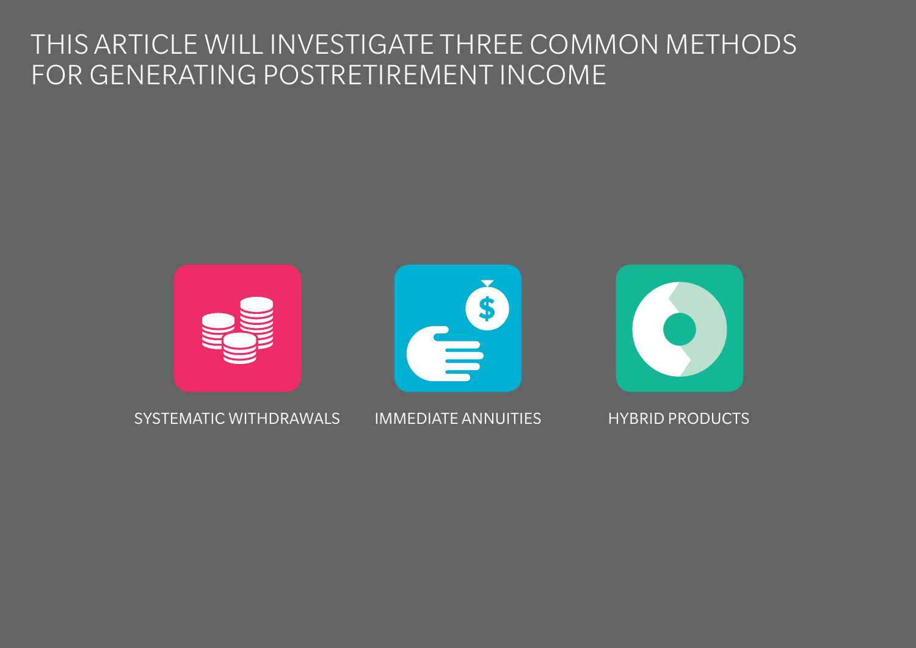## This article will investigate three common methods for generating postretirement income

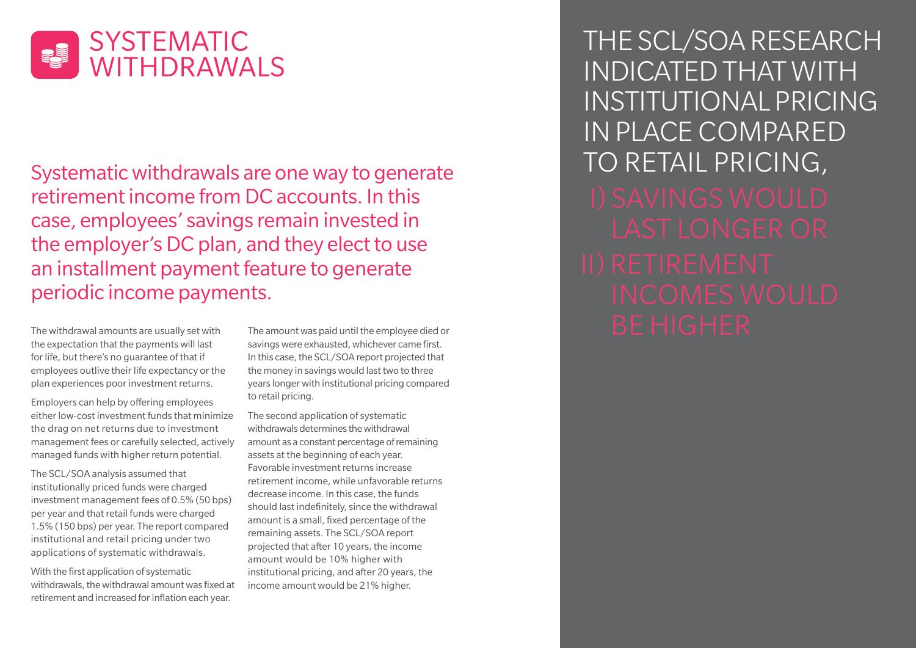

Systematic withdrawals are one way to generate retirement income from DC accounts. In this case, employees' savings remain invested in the employer's DC plan, and they elect to use an installment payment feature to generate periodic income payments.

the expectation that the payments will last for life, but there's no guarantee of that if employees outlive their life expectancy or the plan experiences poor investment returns.

Employers can help by offering employees either low-cost investment funds that minimize the drag on net returns due to investment management fees or carefully selected, actively managed funds with higher return potential.

The SCL/SOA analysis assumed that institutionally priced funds were charged investment management fees of 0.5% (50 bps) per year and that retail funds were charged 1.5% (150 bps) per year. The report compared institutional and retail pricing under two applications of systematic withdrawals.

With the first application of systematic withdrawals, the withdrawal amount was fixed at retirement and increased for inflation each year.

The amount was paid until the employee died or savings were exhausted, whichever came first. In this case, the SCL/SOA report projected that the money in savings would last two to three years longer with institutional pricing compared to retail pricing.

The second application of systematic withdrawals determines the withdrawal amount as a constant percentage of remaining assets at the beginning of each year. Favorable investment returns increase retirement income, while unfavorable returns decrease income. In this case, the funds should last indefinitely, since the withdrawal amount is a small, fixed percentage of the remaining assets. The SCL/SOA report projected that after 10 years, the income amount would be 10% higher with institutional pricing, and after 20 years, the income amount would be 21% higher.

The SCL/SOA Research indicated that with institutional pricing in place compared to retail pricing, The withdrawal amounts are usually set with the amount was paid until the employee died or  $\begin{array}{ccc} \text{D} & \text{D} & \text{D} & \text{D} & \text{D} & \text{D} & \text{D} & \text{D} & \text{D} & \text{D} & \text{D} & \text{D} & \text{D} & \text{D} & \text{D} & \text{D} & \text{D} & \text{D} & \text{D} & \text{D} & \text$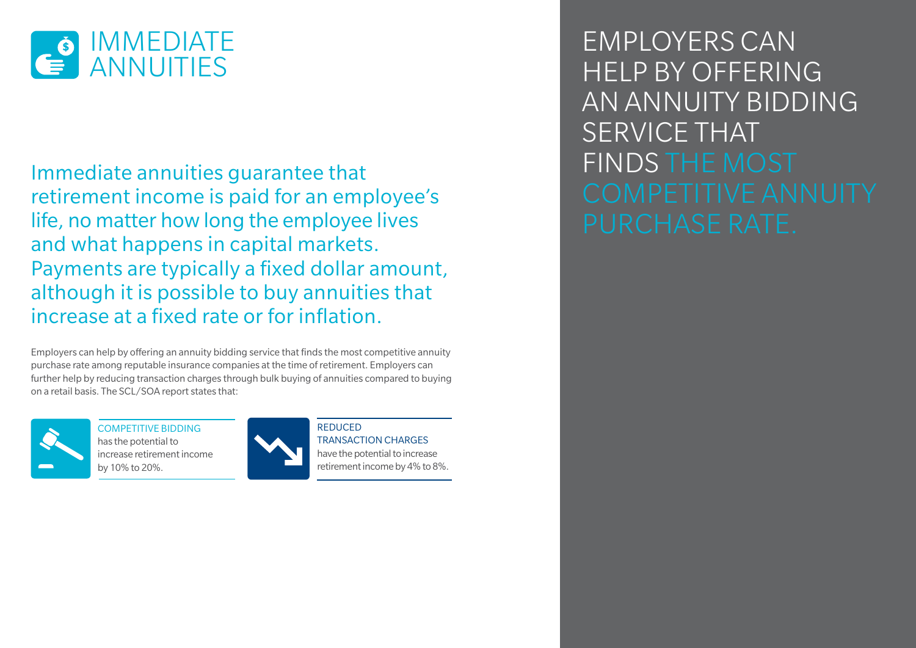

Immediate annuities guarantee that retirement income is paid for an employee's life, no matter how long the employee lives and what happens in capital markets. Payments are typically a fixed dollar amount, although it is possible to buy annuities that increase at a fixed rate or for inflation.

Employers can help by offering an annuity bidding service that finds the most competitive annuity purchase rate among reputable insurance companies at the time of retirement. Employers can further help by reducing transaction charges through bulk buying of annuities compared to buying on a retail basis. The SCL/SOA report states that:



COMPETITIVE BIDDING has the potential to increase retirement income by 10% to 20%.



**REDUCED** transaction charges have the potential to increase retirement income by 4% to 8%.

Employers can help by offering an annuity bidding SERVICE THAT finds the most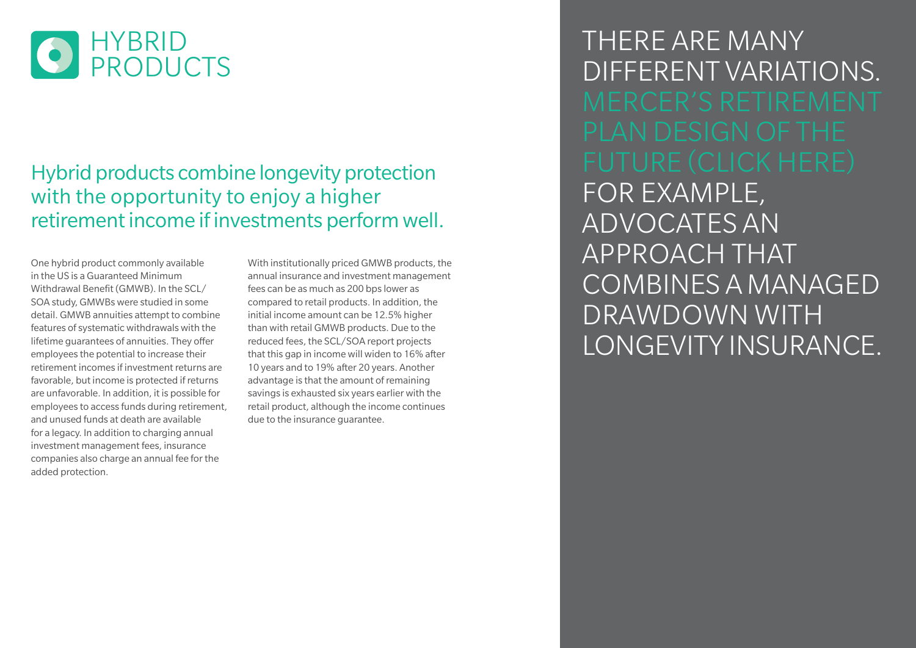

#### Hybrid products combine longevity protection with the opportunity to enjoy a higher retirement income if investments perform well.

One hybrid product commonly available in the US is a Guaranteed Minimum Withdrawal Benefit (GMWB). In the SCL/ SOA study, GMWBs were studied in some detail. GMWB annuities attempt to combine features of systematic withdrawals with the lifetime guarantees of annuities. They offer employees the potential to increase their retirement incomes if investment returns are favorable, but income is protected if returns are unfavorable. In addition, it is possible for employees to access funds during retirement, and unused funds at death are available for a legacy. In addition to charging annual investment management fees, insurance companies also charge an annual fee for the added protection.

With institutionally priced GMWB products, the annual insurance and investment management fees can be as much as 200 bps lower as compared to retail products. In addition, the initial income amount can be 12.5% higher than with retail GMWB products. Due to the reduced fees, the SCL/SOA report projects that this gap in income will widen to 16% after 10 years and to 19% after 20 years. Another advantage is that the amount of remaining savings is exhausted six years earlier with the retail product, although the income continues due to the insurance guarantee.

There are many different variations. for example, advocates an approach that combines a managed drawdown with longevity insurance.